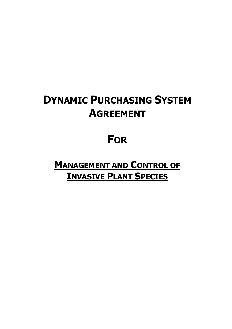# **DYNAMIC PURCHASING SYSTEM AGREEMENT**

# **FOR**

**MANAGEMENT AND CONTROL OF INVASIVE PLANT SPECIES**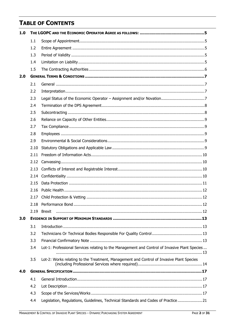# **TABLE OF CONTENTS**

| 1.0 |      |                                                                                               |  |  |
|-----|------|-----------------------------------------------------------------------------------------------|--|--|
|     | 1.1  |                                                                                               |  |  |
|     | 1.2  |                                                                                               |  |  |
|     | 1.3  |                                                                                               |  |  |
|     | 1.4  |                                                                                               |  |  |
|     | 1.5  |                                                                                               |  |  |
| 2.0 |      |                                                                                               |  |  |
|     | 2.1  |                                                                                               |  |  |
|     | 2.2  |                                                                                               |  |  |
|     | 2.3  |                                                                                               |  |  |
|     | 2.4  |                                                                                               |  |  |
|     | 2.5  |                                                                                               |  |  |
|     | 2.6  |                                                                                               |  |  |
|     | 2.7  |                                                                                               |  |  |
|     | 2.8  |                                                                                               |  |  |
|     | 2.9  |                                                                                               |  |  |
|     | 2.10 |                                                                                               |  |  |
|     | 2.11 |                                                                                               |  |  |
|     | 2.12 |                                                                                               |  |  |
|     | 2.13 |                                                                                               |  |  |
|     | 2.14 |                                                                                               |  |  |
|     | 2.15 |                                                                                               |  |  |
|     | 2.16 |                                                                                               |  |  |
|     | 2.17 |                                                                                               |  |  |
|     |      | $\dots$ 12                                                                                    |  |  |
|     | 2.19 | <b>Brexit</b>                                                                                 |  |  |
| 3.0 |      |                                                                                               |  |  |
|     | 3.1  |                                                                                               |  |  |
|     | 3.2  |                                                                                               |  |  |
|     | 3.3  |                                                                                               |  |  |
|     | 3.4  | Lot-1: Professional Services relating to the Management and Control of Invasive Plant Species |  |  |
|     | 3.5  | Lot-2: Works relating to the Treatment, Management and Control of Invasive Plant Species      |  |  |
| 4.0 |      |                                                                                               |  |  |
|     | 4.1  |                                                                                               |  |  |
|     | 4.2  |                                                                                               |  |  |
|     | 4.3  |                                                                                               |  |  |
|     | 4.4  | Legislation, Regulations, Guidelines, Technical Standards and Codes of Practice  21           |  |  |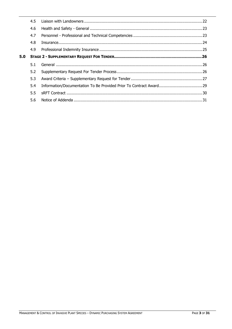|     | 4.5 |  |  |
|-----|-----|--|--|
|     | 4.6 |  |  |
|     | 4.7 |  |  |
|     | 4.8 |  |  |
|     | 4.9 |  |  |
| 5.0 |     |  |  |
|     |     |  |  |
|     | 5.1 |  |  |
|     | 5.2 |  |  |
|     | 5.3 |  |  |
|     | 5.4 |  |  |
|     | 5.5 |  |  |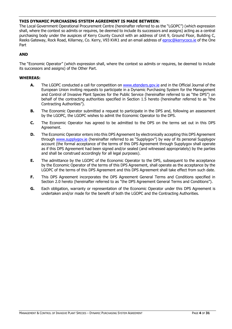# **THIS DYNAMIC PURCHASING SYSTEM AGREEMENT IS MADE BETWEEN:**

The Local Government Operational Procurement Centre (hereinafter referred to as the "LGOPC") (which expression shall, where the context so admits or requires, be deemed to include its successors and assigns) acting as a central purchasing body under the auspices of Kerry County Council with an address of Unit 9, Ground Floor, Building C, Reeks Gateway, Rock Road, Killarney, Co. Kerry, V93 KVK1 and an email address of [eproc@kerrycoco.ie](mailto:eproc@kerrycoco.ie) of the One Part

# **AND**

The "Economic Operator" (which expression shall, where the context so admits or requires, be deemed to include its successors and assigns) of the Other Part.

# **WHEREAS:**

- **A.** The LGOPC conducted a call for competition on [www.etenders.gov.ie](http://www.etenders.gov.ie/) and in the Official Journal of the European Union inviting requests to participate in a Dynamic Purchasing System for the Management and Control of Invasive Plant Species for the Public Service (hereinafter referred to as "the DPS") on behalf of the contracting authorities specified in Section 1.5 hereto (hereinafter referred to as "the Contracting Authorities").
- **B.** The Economic Operator submitted a request to participate in the DPS and, following an assessment by the LGOPC, the LGOPC wishes to admit the Economic Operator to the DPS.
- **C.** The Economic Operator has agreed to be admitted to the DPS on the terms set out in this DPS Agreement.
- **D.** The Economic Operator enters into this DPS Agreement by electronically accepting this DPS Agreement through [www.supplygov.ie](http://www.supplygov.ie/) (hereinafter referred to as "Supplygov") by way of its personal Supplygov account (the formal acceptance of the terms of this DPS Agreement through Supplygov shall operate as if this DPS Agreement had been signed and/or sealed (and witnessed appropriately) by the parties and shall be construed accordingly for all legal purposes).
- **E.** The admittance by the LGOPC of the Economic Operator to the DPS, subsequent to the acceptance by the Economic Operator of the terms of this DPS Agreement, shall operate as the acceptance by the LGOPC of the terms of this DPS Agreement and this DPS Agreement shall take effect from such date.
- **F.** This DPS Agreement incorporates the DPS Agreement General Terms and Conditions specified in Section 2.0 hereto (hereinafter referred to as "the DPS Agreement General Terms and Conditions").
- **G.** Each obligation, warranty or representation of the Economic Operator under this DPS Agreement is undertaken and/or made for the benefit of both the LGOPC and the Contracting Authorities.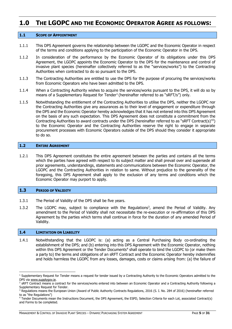# <span id="page-4-0"></span>**1.0 THE LGOPC AND THE ECONOMIC OPERATOR AGREE AS FOLLOWS:**

#### <span id="page-4-1"></span>**1.1 SCOPE OF APPOINTMENT**

- 1.1.1 This DPS Agreement governs the relationship between the LGOPC and the Economic Operator in respect of the terms and conditions applying to the participation of the Economic Operator in the DPS.
- 1.1.2 In consideration of the performance by the Economic Operator of its obligations under this DPS Agreement, the LGOPC appoints the Economic Operator to the DPS for the maintenance and control of invasive plant species (hereinafter collectively referred to as the "services/works") to the Contracting Authorities when contracted to do so pursuant to the DPS.
- 1.1.3 The Contracting Authorities are entitled to use the DPS for the purpose of procuring the services/works from Economic Operators who have been admitted to the DPS.
- 1.1.4 When a Contracting Authority wishes to acquire the services/works pursuant to the DPS, it will do so by means of a Supplementary Request for Tender<sup>1</sup> (hereinafter referred to as "sRFT/s") only.
- 1.1.5 Notwithstanding the entitlement of the Contracting Authorities to utilise the DPS, neither the LGOPC nor the Contracting Authorities give any assurances as to their level of engagement or expenditure through the DPS and the Economic Operator hereby acknowledges that it has not entered into this DPS Agreement on the basis of any such expectation. This DPS Agreement does not constitute a commitment from the Contracting Authorities to award contracts under the DPS (hereinafter referred to as "sRFT Contract(s)"<sup>2</sup>) to the Economic Operator and the Contracting Authorities reserve the right to engage in separate procurement processes with Economic Operators outside of the DPS should they consider it appropriate to do so.

#### <span id="page-4-2"></span>**1.2 ENTIRE AGREEMENT**

1.2.1 This DPS Agreement constitutes the entire agreement between the parties and contains all the terms which the parties have agreed with respect to its subject matter and shall prevail over and supersede all prior agreements, understandings, statements and communications between the Economic Operator, the LGOPC and the Contracting Authorities in relation to same. Without prejudice to the generality of the foregoing, this DPS Agreement shall apply to the exclusion of any terms and conditions which the Economic Operator may purport to apply.

#### <span id="page-4-3"></span>**1.3 PERIOD OF VALIDITY**

- 1.3.1 The Period of Validity of the DPS shall be five years.
- 1.3.2 The LGOPC may, subject to compliance with the Regulations<sup>3</sup>, amend the Period of Validity. Any amendment to the Period of Validity shall not necessitate the re-execution or re-affirmation of this DPS Agreement by the parties which terms shall continue in force for the duration of any amended Period of Validity.

#### <span id="page-4-4"></span>**1.4 LIMITATION ON LIABILITY**

-

1.4.1 Notwithstanding that the LGOPC is: (a) acting as a Central Purchasing Body co-ordinating the establishment of the DPS; and (b) entering into this DPS Agreement with the Economic Operator, nothing within this DPS Agreement or the Tender Documents<sup>4</sup> shall operate to bind the LGOPC to (or make them a party to) the terms and obligations of an sRFT Contract and the Economic Operator hereby indemnifies and holds harmless the LGOPC from any losses, damages, costs or claims arising from: (a) the failure of

<sup>&</sup>lt;sup>1</sup> Supplementary Request for Tender means a request for tender issued by a Contracting Authority to the Economic Operators admitted to the DPS via [www.supplygov.ie.](http://www.supplygov.ie/)

<sup>&</sup>lt;sup>2</sup> SRFT Contract means a contract for the services/works entered into between an Economic Operator and a Contracting Authority following a Supplementary Request for Tender.

<sup>&</sup>lt;sup>3</sup> Regulations means the European Union (Award of Public Authority Contracts Regulations, 2016 (S. I. No. 284 of 2016) (hereinafter referred to as "the Regulations")

<sup>4</sup> Tender Documents mean the Instructions Document, the DPS Agreement, the ESPD, Selection Criteria for each Lot, associated Contract(s) and Forms to be completed.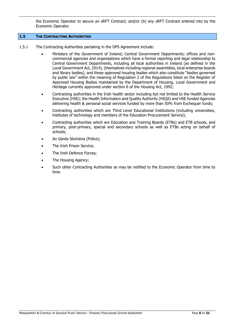the Economic Operator to secure an sRFT Contract; and/or (b) any sRFT Contract entered into by the Economic Operator.

# <span id="page-5-0"></span>**1.5 THE CONTRACTING AUTHORITIES**

- 1.5.1 The Contracting Authorities partaking in the DPS Agreement include:
	- Ministers of the Government of Ireland; Central Government Departments; offices and noncommercial agencies and organisations which have a formal reporting and legal relationship to Central Government Departments, including all local authorities in Ireland (as defined in the Local Government Act, 2014), (themselves including regional assemblies, local enterprise boards and library bodies), and those approved housing bodies which also constitute "bodies governed by public law" within the meaning of Regulation 2 of the Regulations listed on the Register of Approved Housing Bodies maintained by the Department of Housing, Local Government and Heritage currently approved under section 6 of the Housing Act, 1992;
	- Contracting authorities in the Irish health sector including but not limited to the Health Service Executive (HSE); the Health Information and Quality Authority (HIQA) and HSE funded Agencies delivering health & personal social services funded by more than 50% from Exchequer funds;
	- Contracting authorities which are Third Level Educational Institutions (including universities, institutes of technology and members of the Education Procurement Service);
	- Contracting authorities which are Education and Training Boards (ETBs) and ETB schools, and primary, post-primary, special and secondary schools as well as ETBs acting on behalf of schools;
	- An Garda Síochána (Police);
	- The Irish Prison Service;
	- The Irish Defence Forces;
	- The Housing Agency;
	- Such other Contracting Authorities as may be notified to the Economic Operator from time to time.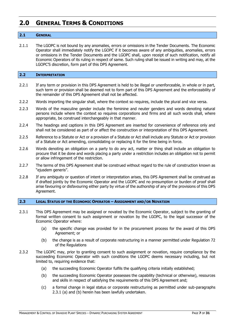# <span id="page-6-0"></span>**2.0 GENERAL TERMS & CONDITIONS**

# <span id="page-6-1"></span>**2.1 GENERAL**

2.1.1 The LGOPC is not bound by any anomalies, errors or omissions in the Tender Documents. The Economic Operator shall immediately notify the LGOPC if it becomes aware of any ambiguities, anomalies, errors or omissions in the Tender Documents and the LGOPC shall, upon receipt of such notification, notify all Economic Operators of its ruling in respect of same. Such ruling shall be issued in writing and may, at the LGOPC'S discretion, form part of this DPS Agreement.

# <span id="page-6-2"></span>**2.2 INTERPRETATION**

- 2.2.1 If any term or provision in this DPS Agreement is held to be illegal or unenforceable, in whole or in part, such term or provision shall be deemed not to form part of this DPS Agreement and the enforceability of the remainder of this DPS Agreement shall not be affected.
- 2.2.2 Words importing the singular shall, where the context so requires, include the plural and vice versa.
- 2.2.3 Words of the masculine gender include the feminine and neuter genders and words denoting natural persons include where the context so requires corporations and firms and all such words shall, where appropriate, be construed interchangeably in that manner.
- 2.2.4 The headings and captions in this DPS Agreement are inserted for convenience of reference only and shall not be considered as part of or affect the construction or interpretation of this DPS Agreement.
- 2.2.5 Reference to a Statute or Act or a provision of a Statute or Act shall include any Statute or Act or provision of a Statute or Act amending, consolidating or replacing it for the time being in force.
- 2.2.6 Words denoting an obligation on a party to do any act, matter or thing shall include an obligation to procure that it be done and words placing a party under a restriction includes an obligation not to permit or allow infringement of the restriction.
- 2.2.7 The terms of this DPS Agreement shall be construed without regard to the rule of construction known as "ejusdem generis".
- 2.2.8 If any ambiguity or question of intent or interpretation arises, this DPS Agreement shall be construed as if drafted jointly by the Economic Operator and the LGOPC and no presumption or burden of proof shall arise favouring or disfavouring either party by virtue of the authorship of any of the provisions of this DPS Agreement.

#### <span id="page-6-3"></span>**2.3 LEGAL STATUS OF THE ECONOMIC OPERATOR – ASSIGNMENT AND/OR NOVATION**

- 2.3.1 This DPS Agreement may be assigned or novated by the Economic Operator, subject to the granting of formal written consent to such assignment or novation by the LGOPC, to the legal successor of the Economic Operator where:
	- (a) the specific change was provided for in the procurement process for the award of this DPS Agreement; or
	- (b) the change is as a result of corporate restructuring in a manner permitted under Regulation 72 of the Regulations
- 2.3.2 The LGOPC may, prior to granting consent to such assignment or novation, require compliance by the succeeding Economic Operator with such conditions the LGOPC deems necessary including, but not limited to, requiring evidence that:
	- (a) the succeeding Economic Operator fulfils the qualifying criteria initially established;
	- (b) the succeeding Economic Operator possesses the capability (technical or otherwise), resources and skills in respect of satisfying the requirements of this DPS Agreement and;
	- (c) a formal change in legal status or corporate restructuring as permitted under sub-paragraphs 2.3.1 (a) and (b) herein has been lawfully undertaken.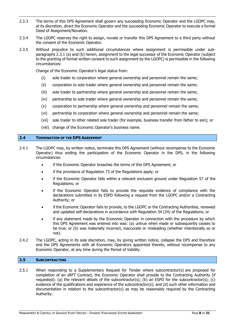- 2.3.3 The terms of this DPS Agreement shall govern any succeeding Economic Operator and the LGOPC may, at its discretion, direct the Economic Operator and the succeeding Economic Operator to execute a formal Deed of Assignment/Novation.
- 2.3.4 The LGOPC reserves the right to assign, novate or transfer this DPS Agreement to a third party without the consent of the Economic Operator.
- 2.3.5 Without prejudice to such additional circumstances where assignment is permissible under subparagraphs 2.3.1 (a) and (b) herein, assignment to the legal successor of the Economic Operator (subject to the granting of formal written consent to such assignment by the LGOPC) is permissible in the following circumstances:

Change of the Economic Operator's legal status from:

- (i) sole trader to corporation where general ownership and personnel remain the same;
- (ii) corporation to sole trader where general ownership and personnel remain the same;
- (iii) sole trader to partnership where general ownership and personnel remain the same;
- (iv) partnership to sole trader where general ownership and personnel remain the same;
- (v) corporation to partnership where general ownership and personnel remain the same;
- (vi) partnership to corporation where general ownership and personnel remain the same;
- (vii) sole trader to other related sole trader (for example, business transfer from father to son); or
- (viii) change of the Economic Operator's business name.

#### <span id="page-7-0"></span>**2.4 TERMINATION OF THE DPS AGREEMENT**

- 2.4.1 The LGOPC may, by written notice, terminate this DPS Agreement (without recompense to the Economic Operator) thus ending the participation of the Economic Operator in the DPS, in the following circumstances:
	- if the Economic Operator breaches the terms of this DPS Agreement; or
	- if the provisions of Regulation 73 of the Regulations apply; or
	- if the Economic Operator falls within a relevant exclusion ground under Regulation 57 of the Regulations; or
	- if the Economic Operator fails to provide the requisite evidence of compliance with the declarations submitted in its ESPD following a request from the LGOPC and/or a Contracting Authority; or
	- if the Economic Operator fails to provide, to the LGOPC or the Contracting Authorities, renewed and updated self-declarations in accordance with Regulation 34 (24) of the Regulations; or
	- if any statement made by the Economic Operator in connection with the procedure by which this DPS Agreement was entered into was: (a) untrue when made or subsequently ceases to be true; or (b) was materially incorrect, inaccurate or misleading (whether intentionally so or not).
- 2.4.2 The LGOPC, acting in its sole discretion, may, by giving written notice, collapse the DPS and therefore end the DPS Agreements with all Economic Operators appointed thereto, without recompense to any Economic Operator, at any time during the Period of Validity.

#### <span id="page-7-1"></span>**2.5 SUBCONTRACTING**

2.5.1 When responding to a Supplementary Request for Tender where subcontractor(s) are proposed for completion of an sRFT Contract, the Economic Operator shall provide to the Contracting Authority (if requested): (a) the relevant details of the subcontractor(s); (b) an ESPD for the subcontractor(s); (c) evidence of the qualifications and experience of the subcontractor(s); and (d) such other information and documentation in relation to the subcontractor(s) as may be reasonably required by the Contracting Authority.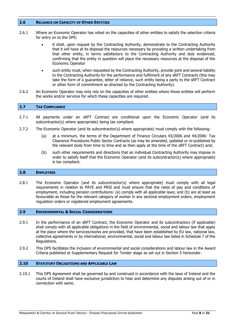#### <span id="page-8-0"></span>**2.6 RELIANCE ON CAPACITY OF OTHER ENTITIES**

- 2.6.1 Where an Economic Operator has relied on the capacities of other entities to satisfy the selection criteria for entry on to the DPS:
	- it shall, upon request by the Contracting Authority, demonstrate to the Contracting Authority that it will have at its disposal the resources necessary by providing a written undertaking from that other entity, in terms satisfactory to the Contracting Authority and duly evidenced, confirming that the entity in question will place the necessary resources at the disposal of the Economic Operator
	- such entity must, when requested by the Contracting Authority, provide joint and several liability to the Contracting Authority for the performance and fulfilment of any sRFT Contracts (this may take the form of a guarantee, letter of reliance, such entity being a party to the sRFT Contract or other form of commitment as directed by the Contracting Authority).
- 2.6.2 An Economic Operator may only rely on the capacities of other entities where those entities will perform the works and/or services for which these capacities are required.

# <span id="page-8-1"></span>**2.7 TAX COMPLIANCE**

- 2.7.1 All payments under an sRFT Contract are conditional upon the Economic Operator (and its subcontractor(s) where appropriate) being tax compliant.
- 2.7.2 The Economic Operator (and its subcontractor(s) where appropriate) must comply with the following:
	- (a) at a minimum, the terms of the Department of Finance Circulars 43/2006 and 44/2006: Tax Clearance Procedures Public Sector Contracts (as may be amended, updated or re-published by the relevant body from time to time and as then apply at the time of the sRFT Contract) and;
	- (b) such other requirements and directions that an individual Contracting Authority may impose in order to satisfy itself that the Economic Operator (and its subcontractor(s) where appropriate) is tax compliant.

#### <span id="page-8-2"></span>**2.8 EMPLOYEES**

2.8.1 The Economic Operator (and its subcontractor(s) where appropriate) must comply with all legal requirements in relation to PAYE and PRSI and must ensure that the rates of pay and conditions of employment, including pension contributions: (a) comply with all applicable laws; and (b) are at least as favourable as those for the relevant category of worker in any sectoral employment orders, employment regulation orders or registered employment agreements.

# <span id="page-8-3"></span>**2.9 ENVIRONMENTAL & SOCIAL CONSIDERATIONS**

- 2.9.1 In the performance of an sRFT Contract, the Economic Operator and its subcontractors (if applicable) shall comply with all applicable obligations in the field of environmental, social and labour law that apply at the place where the services/works are provided, that have been established by EU law, national law, collective agreements or by international, environmental, social and labour law listed in Schedule 7 of the Regulations.
- 2.9.2 This DPS facilitates the inclusion of environmental and social considerations and labour law in the Award Criteria published at Supplementary Request for Tender stage as set out in Section 5 hereunder.

#### <span id="page-8-4"></span>**2.10 STATUTORY OBLIGATIONS AND APPLICABLE LAW**

2.10.1 This DPS Agreement shall be governed by and construed in accordance with the laws of Ireland and the courts of Ireland shall have exclusive jurisdiction to hear and determine any disputes arising out of or in connection with same.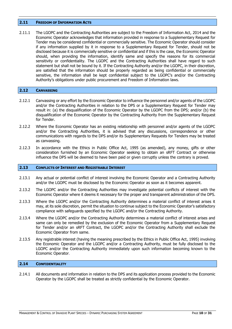#### <span id="page-9-0"></span>**2.11 FREEDOM OF INFORMATION ACTS**

2.11.1 The LGOPC and the Contracting Authorities are subject to the Freedom of Information Act, 2014 and the Economic Operator acknowledges that information provided in response to a Supplementary Request for Tender may be considered confidential or commercially sensitive. The Economic Operator should consider if any information supplied by it in response to a Supplementary Request for Tender, should not be disclosed because it is commercially sensitive or confidential and if this is the case, the Economic Operator should, when providing the information, identify same and specify the reasons for its commercial sensitivity or confidentiality. The LGOPC and the Contracting Authorities shall have regard to such statement but shall not be bound by it. If the Contracting Authority and/or the LGOPC, in their discretion, are satisfied that the information should be properly regarded as being confidential or commercially sensitive, the information shall be kept confidential subject to the LGOPC's and/or the Contracting Authority's obligations under public procurement and Freedom of Information laws.

#### <span id="page-9-1"></span>**2.12 CANVASSING**

- 2.12.1 Canvassing or any effort by the Economic Operator to influence the personnel and/or agents of the LGOPC and/or the Contracting Authorities in relation to the DPS or a Supplementary Request for Tender may result in: (a) the disqualification of the Economic Operator by the LGOPC from the DPS; and/or (b) the disqualification of the Economic Operator by the Contracting Authority from the Supplementary Request for Tender.
- 2.12.2 Where the Economic Operator has an existing relationship with personnel and/or agents of the LGOPC and/or the Contracting Authorities, it is advised that any discussions, correspondence or other communications with regards to the DPS and/or its Supplementary Requests for Tenders may be treated as canvassing.
- 2.12.3 In accordance with the Ethics in Public Office Act, 1995 (as amended), any money, gifts or other consideration furnished by an Economic Operator seeking to obtain an sRFT Contract or otherwise influence the DPS will be deemed to have been paid or given corruptly unless the contrary is proved.

#### <span id="page-9-2"></span>**2.13 CONFLICTS OF INTEREST AND REGISTRABLE INTEREST**

- 2.13.1 Any actual or potential conflict of interest involving the Economic Operator and a Contracting Authority and/or the LGOPC must be disclosed by the Economic Operator as soon as it becomes apparent.
- 2.13.2 The LGOPC and/or the Contracting Authorities may investigate potential conflicts of interest with the Economic Operator where it deems it necessary for the proper and transparent administration of the DPS.
- 2.13.3 Where the LGOPC and/or the Contracting Authority determines a material conflict of interest arises it may, at its sole discretion, permit the situation to continue subject to the Economic Operator's satisfactory compliance with safeguards specified by the LGOPC and/or the Contracting Authority.
- 2.13.4 Where the LGOPC and/or the Contracting Authority determines a material conflict of interest arises and same can only be remedied by the exclusion of the Economic Operator from a Supplementary Request for Tender and/or an sRFT Contract, the LGOPC and/or the Contracting Authority shall exclude the Economic Operator from same.
- 2.13.5 Any registrable interest (having the meaning prescribed by the Ethics in Public Office Act, 1995) involving the Economic Operator and the LGOPC and/or a Contracting Authority, must be fully disclosed to the LGOPC and/or the Contracting Authority immediately upon such information becoming known to the Economic Operator.

# <span id="page-9-3"></span>**2.14 CONFIDENTIALITY**

2.14.1 All documents and information in relation to the DPS and its application process provided to the Economic Operator by the LGOPC shall be treated as strictly confidential by the Economic Operator.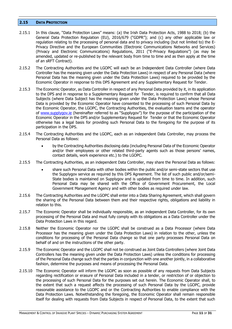#### <span id="page-10-0"></span>**2.15 DATA PROTECTION**

- 2.15.1 In this clause, "Data Protection Laws" means: (a) the Irish Data Protection Acts, 1988 to 2018; (b) the General Data Protection Regulation (EU), 2016/679 ("GDPR"); and (c) any other applicable law or regulation relating to the processing of personal data and to privacy including (but not limited to) the E-Privacy Directive and the European Communities (Electronic Communications Networks and Services) (Privacy and Electronic Communications) Regulations, 2011 ("E-Privacy Regulations") (as may be amended, updated or re-published by the relevant body from time to time and as then apply at the time of an sRFT Contract).
- 2.15.2 The Contracting Authorities and the LGOPC will each be an Independent Data Controller (where Data Controller has the meaning given under the Data Protection Laws) in respect of any Personal Data (where Personal Data has the meaning given under the Data Protection Laws) required to be provided by the Economic Operator in response to this DPS Agreement and any Supplementary Request for Tender.
- 2.15.3 The Economic Operator, as Data Controller in respect of any Personal Data provided by it, in its application to the DPS and in response to a Supplementary Request for Tender, is required to confirm that all Data Subjects (where Data Subject has the meaning given under the Data Protection Laws) whose Personal Data is provided by the Economic Operator have consented to the processing of such Personal Data by the Economic Operator, the LGOPC, the Contracting Authorities, the evaluation teams and the operator of [www.supplygov.ie](http://www.supplygov.ie/) (hereinafter referred to as "Supplygov") for the purpose of the participation of the Economic Operator in the DPS and/or Supplementary Request for Tender or that the Economic Operator otherwise has a legal basis for providing such Personal Data to the foregoing for the purpose of its participation in the DPS.
- 2.15.4 The Contracting Authorities and the LGOPC, each as an independent Data Controller, may process the Personal Data as follows:
	- by the Contracting Authorities disclosing data (including Personal Data of the Economic Operator and/or their employees or other related third-party agents such as those persons' names, contact details, work experience etc.) to the LGOPC.
- 2.15.5 The Contracting Authorities, as an independent Data Controller, may share the Personal Data as follows:
	- share such Personal Data with other bodies within the public and/or semi-state sectors that use the Supplygov service as required by this DPS Agreement. The list of such public and/or/semi-State bodies is maintained on Supplygov and is updated from time to time. In addition, such Personal Data may be shared with the Office of Government Procurement, the Local Government Management Agency and with other bodies as required under law.
- 2.15.6 The Contracting Authorities and the LGOPC shall enter into a Data Sharing Agreement, which shall govern the sharing of the Personal Data between them and their respective rights, obligations and liability in relation to this.
- 2.15.7 The Economic Operator shall be individually responsible, as an independent Data Controller, for its own processing of the Personal Data and must fully comply with its obligations as a Data Controller under the Data Protection Laws in this regard.
- 2.15.8 Neither the Economic Operator nor the LGOPC shall be construed as a Data Processor (where Data Processor has the meaning given under the Data Protection Laws) in relation to the other, unless the conditions for processing of the Personal Data change so that one party processes Personal Data on behalf of and on the instructions of the other party.
- 2.15.9 The Economic Operator and the LGOPC shall not be construed as Joint Data Controllers (where Joint Data Controllers has the meaning given under the Data Protection Laws) unless the conditions for processing of the Personal Data change such that the parties in conjunction with one another jointly, in a collaborative fashion, determine the purposes and means of processing the Personal Data.
- 2.15.10 The Economic Operator will inform the LGOPC as soon as possible of any requests from Data Subjects regarding rectification or erasure of Personal Data included in a tender, or restriction of or objection to the processing of such Personal Data for the purposes set out herein. The Economic Operator shall, to the extent that such a request affects the processing of such Personal Data by the LGOPC, provide reasonable assistance to the LGOPC and or the Contracting Authorities to enable compliance with the Data Protection Laws. Notwithstanding the foregoing, the Economic Operator shall remain responsible itself for dealing with requests from Data Subjects in respect of Personal Data, to the extent that such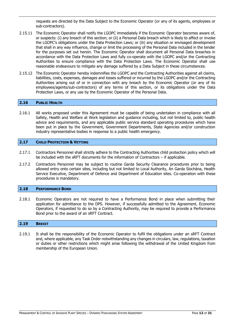requests are directed by the Data Subject to the Economic Operator (or any of its agents, employees or sub-contractors).

- 2.15.11 The Economic Operator shall notify the LGOPC immediately if the Economic Operator becomes aware of, or suspects: (i) any breach of this section; or (ii) a Personal Data breach which is likely to affect or invoke the LGOPC's obligations under the Data Protection Laws; or (iii) any situation or envisaged development that shall in any way influence, change or limit the processing of the Personal Data included in the tender for the purposes set out herein. The Economic Operator shall document all Personal Data breaches in accordance with the Data Protection Laws and fully co-operate with the LGOPC and/or the Contracting Authorities to ensure compliance with the Data Protection Laws. The Economic Operator shall use reasonable endeavours to mitigate any damage suffered by a Data Subject in these circumstances.
- 2.15.12 The Economic Operator hereby indemnifies the LGOPC and the Contracting Authorities against all claims, liabilities, costs, expenses, damages and losses suffered or incurred by the LGOPC and/or the Contracting Authorities arising out of or in connection with any breach by the Economic Operator (or any of its employees/agents/sub-contractors) of any terms of this section, or its obligations under the Data Protection Laws, or any use by the Economic Operator of the Personal Data.

# <span id="page-11-0"></span>**2.16 PUBLIC HEALTH**

2.16.1 All works proposed under this Agreement must be capable of being undertaken in compliance with all Safety, Health and Welfare at Work legislation and guidance including, but not limited to, public health advice and requirements, and any applicable public service standard operating procedures which have been put in place by the Government, Government Departments, State Agencies and/or construction industry representative bodies in response to a public health emergency.

#### <span id="page-11-1"></span>**2.17 CHILD PROTECTION & VETTING**

- 2.17.1 Contractors Personnel shall strictly adhere to the Contracting Authorities child protection policy which will be included with the sRFT documents for the information of Contractors – if applicable.
- 2.17.2 Contractors Personnel may be subject to routine Garda Security Clearance procedures prior to being allowed entry onto certain sites, including but not limited to Local Authority, An Garda Síochána, Health Service Executive, Department of Defence and Department of Education sites. Co-operation with these procedures is mandatory.

#### <span id="page-11-2"></span>**2.18 PERFORMANCE BOND**

2.18.1 Economic Operators are not required to have a Performance Bond in place when submitting their application for admittance to the DPS. However, if successfully admitted to the Agreement, Economic Operators, if requested to do so by a Contracting Authority, may be required to provide a Performance Bond prior to the award of an sRFT Contract.

#### <span id="page-11-3"></span>**2.19 BREXIT**

2.19.1 It shall be the responsibility of the Economic Operator to fulfil the obligations under an sRFT Contract and, where applicable, any Task Order notwithstanding any changes in circulars, law, regulations, taxation or duties or other restrictions which might arise following the withdrawal of the United Kingdom from membership of the European Union.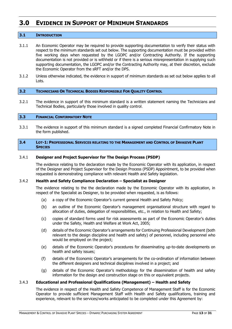# <span id="page-12-0"></span>**3.0 EVIDENCE IN SUPPORT OF MINIMUM STANDARDS**

# <span id="page-12-1"></span>**3.1 INTRODUCTION**

- 3.1.1 An Economic Operator may be required to provide supporting documentation to verify their status with respect to the minimum standards set out below. The supporting documentation must be provided within five working days when requested by the LGOPC and/or Contracting Authority. If the supporting documentation is not provided or is withheld or if there is a serious misrepresentation in supplying such supporting documentation, the LGOPC and/or the Contracting Authority may, at their discretion, exclude the Economic Operator from the sRFT and/or the DPS.
- 3.1.2 Unless otherwise indicated, the evidence in support of minimum standards as set out below applies to all Lots.

# <span id="page-12-2"></span>**3.2 TECHNICIANS OR TECHNICAL BODIES RESPONSIBLE FOR QUALITY CONTROL**

3.2.1 The evidence in support of this minimum standard is a written statement naming the Technicians and Technical Bodies, particularly those involved in quality control.

#### <span id="page-12-3"></span>**3.3 FINANCIAL CONFIRMATORY NOTE**

3.3.1 The evidence in support of this minimum standard is a signed completed Financial Confirmatory Note in the form published.

#### <span id="page-12-4"></span>**3.4 LOT-1: PROFESSIONAL SERVICES RELATING TO THE MANAGEMENT AND CONTROL OF INVASIVE PLANT SPECIES**

#### 3.4.1 **Designer and Project Supervisor for The Design Process (PSDP)**

The evidence relating to the declaration made by the Economic Operator with its application, in respect of the Designer and Project Supervisor for the Design Process (PSDP) Appointment, to be provided when requested is demonstrating compliance with relevant Health and Safety legislation.

#### 3.4.2 **Health and Safety Compliance Declaration – Specialist as Designer**

The evidence relating to the the declaration made by the Economic Operator with its application, in respect of the Specialist as Designer, to be provided when requested, is as follows:

- (a) a copy of the Economic Operator's current general Health and Safety Policy;
- (b) an outline of the Economic Operator's management organisational structure with regard to allocation of duties, delegation of responsibilities, etc., in relation to Health and Safety;
- (c) copies of standard forms used for risk assessments as part of the Economic Operator's duties under the Safety, Health and Welfare at Work Act, 2005;
- (d) details of the Economic Operator's arrangements for Continuing Professional Development (both relevant to the design discipline and health and safety) of personnel, including personnel who would be employed on the project;
- (e) details of the Economic Operator's procedures for disseminating up-to-date developments on health and safety issues;
- (f) details of the Economic Operator's arrangements for the co-ordination of information between the different designers and technical disciplines involved in a project; and
- (g) details of the Economic Operator's methodology for the dissemination of health and safety information for the design and construction stage on this or equivalent projects.

# 3.4.3 **Educational and Professional Qualifications (Management) – Health and Safety**

The evidence in respect of the Health and Safety Competence of Management Staff is for the Economic Operator to provide sufficient Management Staff with Health and Safety qualifications, training and experience, relevant to the services/works anticipated to be completed under this Agreement by: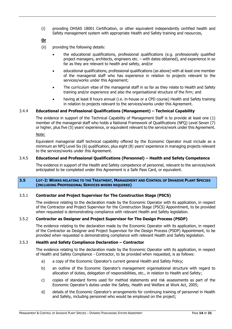(i) providing OHSAS 18001 Certification, or other equivalent independently certified health and Safety management system with appropriate Health and Safety training and resources,

# **Or**

- (ii) providing the following details:
	- the educational qualifications, professional qualifications (e.g. professionally qualified project managers, architects, engineers etc. – with dates obtained), and experience in so far as they are relevant to health and safety, and/or
	- educational qualifications, professional qualifications (as above) with at least one member of the managerial staff who has experience in relation to projects relevant to the services/works under this Agreement;
	- The curriculum vitae of the managerial staff in so far as they relate to Health and Safety training and/or experience and also the organisational structure of the firm; and
	- having at least 8 hours annual (i.e. in-house or a CPD course) Health and Safety training in relation to projects relevant to the services/works under this Agreement.

# 3.4.4 **Educational and Professional Qualifications (Management) – Technical Capability**

The evidence in support of the Technical Capability of Management Staff is to provide at least one (1) member of the managerial staff who holds a National Framework of Qualifications (NFQ) Level Seven (7) or higher, plus five (5) years' experience, or equivalent relevant to the service/work under this Agreement.

Note:

Equivalent managerial staff technical capability offered by the Economic Operator must include as a minimum an NFQ Level Six (6) qualification, plus eight (8) years' experience in managing projects relevant to the services/works under this Agreement.

# 3.4.5 **Educational and Professional Qualifications (Personnel) – Health and Safety Competence**

The evidence in support of the Health and Safety competence of personnel, relevant to the services/work anticipated to be completed under this Agreement is a Safe Pass Card, or equivalent.

#### <span id="page-13-0"></span>3.5 LOT-2: WORKS RELATING TO THE TREATMENT, MANAGEMENT AND CONTROL OF INVASIVE PLANT SPECIES **(INCLUDING PROFESSIONAL SERVICES WHERE REQUIRED)**

# 3.5.1 **Contractor and Project Supervisor for The Construction Stage (PSCS)**

The evidence relating to the declaration made by the Economic Operator with its application, in respect of the Contractor and Project Supervisor for the Construction Stage (PSCS) Appointment, to be provided when requested is demonstrating compliance with relevant Health and Safety legislation.

# 3.5.2 **Contractor as Designer and Project Supervisor for The Design Process (PSDP)**

The evidence relating to the declaration made by the Economic Operator with its application, in respect of the Contractor as Designer and Project Supervisor for the Design Process (PSDP) Appointment, to be provided when requested is demonstrating compliance with relevant Health and Safety legislation.

# 3.5.3 **Health and Safety Compliance Declaration – Contractor**

The evidence relating to the declaration made by the Economic Operator with its application, in respect of Health and Safety Compliance - Contractor, to be provided when requested, is as follows:

- a) a copy of the Economic Operator's current general Health and Safety Policy;
- b) an outline of the Economic Operator's management organisational structure with regard to allocation of duties, delegation of responsibilities, etc., in relation to Health and Safety;
- c) copies of standard forms used for method statements and risk assessments as part of the Economic Operator's duties under the Safety, Health and Welfare at Work Act, 2005;
- d) details of the Economic Operator's arrangements for continuing training of personnel in Health and Safety, including personnel who would be employed on the project;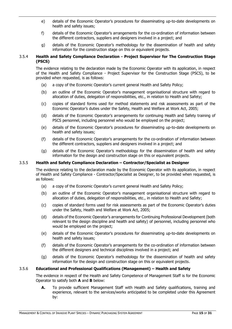- e) details of the Economic Operator's procedures for disseminating up-to-date developments on health and safety issues;
- f) details of the Economic Operator's arrangements for the co-ordination of information between the different contractors, suppliers and designers involved in a project; and
- g) details of the Economic Operator's methodology for the dissemination of health and safety information for the construction stage on this or equivalent projects.

# 3.5.4 **Health and Safety Compliance Declaration - Project Supervisor for The Construction Stage (PSCS)**

The evidence relating to the declaration made by the Economic Operator with its application, in respect of the Health and Safety Compliance - Project Supervisor for the Construction Stage (PSCS), to be provided when requested, is as follows:

- (a) a copy of the Economic Operator's current general Health and Safety Policy;
- (b) an outline of the Economic Operator's management organisational structure with regard to allocation of duties, delegation of responsibilities, etc., in relation to Health and Safety;
- (c) copies of standard forms used for method statements and risk assessments as part of the Economic Operator's duties under the Safety, Health and Welfare at Work Act, 2005;
- (d) details of the Economic Operator's arrangements for continuing Health and Safety training of PSCS personnel, including personnel who would be employed on the project;
- (e) details of the Economic Operator's procedures for disseminating up-to-date developments on health and safety issues;
- (f) details of the Economic Operator's arrangements for the co-ordination of information between the different contractors, suppliers and designers involved in a project; and
- (g) details of the Economic Operator's methodology for the dissemination of health and safety information for the design and construction stage on this or equivalent projects.

# 3.5.5 **Health and Safety Compliance Declaration – Contractor/Specialist as Designer**

The evidence relating to the declaration made by the Economic Operator with its application, in respect of Health and Safety Compliance - Contractor/Specialist as Designer, to be provided when requested, is as follows:

- (a) a copy of the Economic Operator's current general Health and Safety Policy;
- (b) an outline of the Economic Operator's management organisational structure with regard to allocation of duties, delegation of responsibilities, etc., in relation to Health and Safety;
- (c) copies of standard forms used for risk assessments as part of the Economic Operator's duties under the Safety, Health and Welfare at Work Act, 2005;
- (d) details of the Economic Operator's arrangements for Continuing Professional Development (both relevant to the design discipline and health and safety) of personnel, including personnel who would be employed on the project;
- (e) details of the Economic Operator's procedures for disseminating up-to-date developments on health and safety issues;
- (f) details of the Economic Operator's arrangements for the co-ordination of information between the different designers and technical disciplines involved in a project; and
- (g) details of the Economic Operator's methodology for the dissemination of health and safety information for the design and construction stage on this or equivalent projects.

# 3.5.6 **Educational and Professional Qualifications (Management) – Health and Safety**

The evidence in respect of the Health and Safety Competence of Management Staff is for the Economic Operator to satisfy both **A** and **B** below:

**A.** To provide sufficient Management Staff with Health and Safety qualifications, training and experience, relevant to the services/works anticipated to be completed under this Agreement by: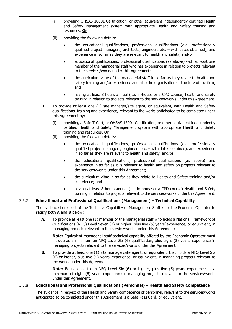- (i) providing OHSAS 18001 Certification, or other equivalent independently certified Health and Safety Management system with appropriate Health and Safety training and resources, **Or**
- (ii) providing the following details:
	- the educational qualifications, professional qualifications (e.g. professionally qualified project managers, architects, engineers etc. – with dates obtained), and experience in so far as they are relevant to health and safety, and/or
	- educational qualifications, professional qualifications (as above) with at least one member of the managerial staff who has experience in relation to projects relevant to the services/works under this Agreement;
	- the curriculum vitae of the managerial staff in so far as they relate to health and safety training and/or experience and also the organisational structure of the firm; and
	- having at least 8 hours annual (i.e. in-house or a CPD course) health and safety training in relation to projects relevant to the services/works under this Agreement.
- **B.** To provide at least one (1) site manager/site agent, or equivalent, with Health and Safety qualifications, training and experience, relevant to the works anticipated to be completed under this Agreement by:
	- (i) providing a Safe-T-Cert, or OHSAS 18001 Certification, or other equivalent independently certified Health and Safety Management system with appropriate Health and Safety training and resources, **Or**
	- (ii) providing the following details:
		- the educational qualifications, professional qualifications (e.g. professionally qualified project managers, engineers etc. – with dates obtained), and experience in so far as they are relevant to health and safety, and/or
		- the educational qualifications, professional qualifications (as above) and experience in so far as it is relevant to health and safety on projects relevant to the services/works under this Agreement;
		- the curriculum vitae in so far as they relate to Health and Safety training and/or experience; and
		- having at least 8 hours annual (i.e. in-house or a CPD course) Health and Safety training in relation to projects relevant to the services/works under this Agreement.

# 3.5.7 **Educational and Professional Qualifications (Management) – Technical Capability**

The evidence in respect of the Technical Capability of Management Staff is for the Economic Operator to satisfy both **A** and **B** below:

**A.** To provide at least one (1) member of the managerial staff who holds a National Framework of Qualifications (NFQ) Level Seven (7) or higher, plus five (5) years' experience, or equivalent, in managing projects relevant to the service/works under this Agreement:

**Note:** Equivalent managerial staff technical capability offered by the Economic Operator must include as a minimum an NFQ Level Six (6) qualification, plus eight (8) years' experience in managing projects relevant to the services/works under this Agreement.

**B.** To provide at least one (1) site manager/site agent, or equivalent, that holds a NFQ Level Six (6) or higher, plus five (5) years' experience, or equivalent, in managing projects relevant to the works under this Agreement.

**Note:** Equivalence to an NFQ Level Six (6) or higher, plus five (5) years experience, is a minimum of eight (8) years experience in managing projects relevant to the services/works under this Agreement.

# 3.5.8 **Educational and Professional Qualifications (Personnel) – Health and Safety Competence**

The evidence in respect of the Health and Safety competence of personnel, relevant to the services/works anticipated to be completed under this Agreement is a Safe Pass Card, or equivalent.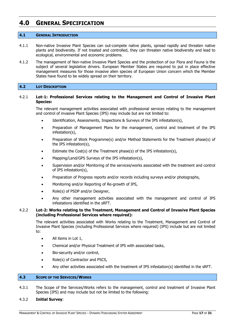# <span id="page-16-0"></span>**4.0 GENERAL SPECIFICATION**

#### <span id="page-16-1"></span>**4.1 GENERAL INTRODUCTION**

- 4.1.1 Non-native Invasive Plant Species can out-compete native plants, spread rapidly and threaten native plants and biodiversity. If not treated and controlled, they can threaten native biodiversity and lead to ecological, environmental and economic problems.
- 4.1.2 The management of Non-native Invasive Plant Species and the protection of our Flora and Fauna is the subject of several legislative drivers. European Member States are required to put in place effective management measures for those invasive alien species of European Union concern which the Member States have found to be widely spread on their territory.

#### <span id="page-16-2"></span>**4.2 LOT DESCRIPTION**

## 4.2.1 **Lot-1: Professional Services relating to the Management and Control of Invasive Plant Species:**

The relevant management activities associated with professional services relating to the management and control of invasive Plant Species (IPS) may include but are not limited to:

- Identification, Assessments, Inspections & Surveys of the IPS infestation(s),
- Preparation of Management Plans for the management, control and treatment of the IPS infestation(s),
- Preparation of Work Programme(s) and/or Method Statements for the Treatment phase(s) of the IPS infestation(s),
- Estimate the Cost(s) of the Treatment phase(s) of the IPS infestation(s),
- Mapping/Land/GPS Surveys of the IPS infestation(s),
- Supervision and/or Monitoring of the services/works associated with the treatment and control of IPS infestation(s),
- Preparation of Progress reports and/or records including surveys and/or photographs,
- Monitoring and/or Reporting of Re-growth of IPS,
- Role(s) of PSDP and/or Designer,
- Any other management activities associated with the management and control of IPS infestations identified in the sRFT.

#### 4.2.2 **Lot-2: Works relating to the Treatment, Management and Control of Invasive Plant Species (including Professional Services where required):**

The relevant activities associated with Works relating to the Treatment, Management and Control of Invasive Plant Species (including Professional Services where required) (IPS) include but are not limited to:

- All items in Lot 1,
- Chemical and/or Physical Treatment of IPS with associated tasks,
- Bio-security and/or control,
- Role(s) of Contractor and PSCS,
- Any other activities associated with the treatment of IPS infestation(s) identified in the sRFT.

#### <span id="page-16-3"></span>**4.3 SCOPE OF THE SERVICES/WORKS**

4.3.1 The Scope of the Services/Works refers to the management, control and treatment of Invasive Plant Species (IPS) and may include but not be limited to the following:

#### 4.3.2 **Initial Survey**: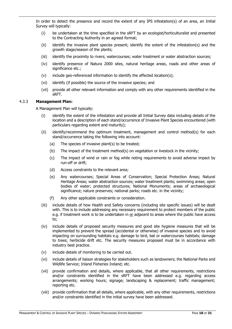In order to detect the presence and record the extent of any IPS infestation(s) of an area, an Initial Survey will typically:

- (i) be undertaken at the time specified in the sRFT by an ecologist/horticulturalist and presented to the Contracting Authority in an agreed format;
- (ii) identify the invasive plant species present; identify the extent of the infestation(s) and the growth stage/season of the plants;
- (iii) identify the proximity to rivers; watercourses; water treatment or water abstraction sources;
- (iv) identify presence of Natura 2000 sites, natural heritage areas, roads and other areas of significance etc.;
- (v) include geo-referenced information to identify the affected location(s);
- (vi) identify (if possible) the source of the invasive species; and
- (vii) provide all other relevant information and comply with any other requirements identified in the sRFT.

# 4.3.3 **Management Plan:**

A Management Plan will typically:

- (i) identify the extent of the infestation and provide all Initial Survey data including details of the location and a description of each stand/occurrence of Invasive Plant Species encountered (with particulars regarding extent and maturity);
- (ii) identify/recommend the optimum treatment, management and control method(s) for each stand/occurrence taking the following into account:
	- (a) The species of invasive plant(s) to be treated;
	- (b) The impact of the treatment method(s) on vegetation or livestock in the vicinity;
	- (c) The impact of wind or rain or fog while noting requirements to avoid adverse impact by run-off or drift;
	- (d) Access constraints to the relevant area;
	- (e) Any watercourses; Special Areas of Conservation; Special Protection Areas; Natural Heritage Areas; water abstraction sources; water treatment plants; swimming areas; open bodies of water; protected structures; National Monuments; areas of archaeological significance; nature preserves; national parks; roads etc. in the vicinity;
	- (f) Any other applicable constraints or consideration.
- (iii) include details of how Health and Safety concerns (including site specific issues) will be dealt with. This is to include addressing any necessary requirement to protect members of the public e.g. if treatment work is to be undertaken in or adjacent to areas where the public have access to;
- (iv) include details of proposed security measures and good site hygiene measures that will be implemented to prevent the spread (accidental or otherwise) of invasive species and to avoid impacting on surrounding habitats e.g. damage to bird, bat or watercourses habitats; damage to trees; herbicide drift etc. The security measures proposed must be in accordance with industry best practice.
- (v) include details of monitoring to be carried out.
- (vi) include details of liaison strategies for stakeholders such as landowners; the National Parks and Wildlife Service; Inland Fisheries Ireland; etc.
- (vii) provide confirmation and details, where applicable, that all other requirements, restrictions and/or constraints identified in the sRFT have been addressed e.g. regarding access arrangements; working hours; signage; landscaping & replacement; traffic management; reporting etc.
- (viii) provide confirmation that all details, where applicable, with any other requirements, restrictions and/or constraints identified in the initial survey have been addressed.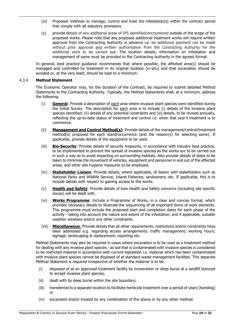- (ix) Proposed methods to manage, control and treat the infestation(s) within the contract period that comply with all statutory provisions.
- (x) provide details of any additional areas of IPS identified/encountered outside of the scope of the proposed works. Please note that any proposed additional treatment works will require written approval from the Contracting Authority in advance i.e. no additional payment can be made without prior approval and written authorisation from the Contracting Authority for the additional work to be carried out. The location details, information on infestation and management of same must be provided to the Contracting Authority in the agreed format.

In general, best practice guidance recommends that where possible, the affected area(s) should be managed and controlled by treatment in its original location (in-situ) and that excavation should be avoided or, at the very least, should be kept to a minimum.

# 4.3.4 **Method Statement**

The Economic Operator may, for the duration of the Contract, be required to submit detailed Method Statements to the Contracting Authority. Typically, the Method Statements shall, at a minimum, address the following:

- (i) **General**: Provide a description of each area where invasive plant species were identified during the Initial Survey. The description for each area is to include (i) details of the invasive plant species identified; (ii) details of any potential constraints and (iii) details, to be revised annually, reflecting the up-to-date status of treatment and control i.e. when that year's treatment is to commence.
- (ii) **Management and Control Method(s)**: Provide details of the management/control/treatment method(s) proposed for each stand/occurrence (and the reason(s) for selecting same). If applicable, provide details of the equipment to be used.
- (iii) **Bio-Security**: Provide details of security measures, in accordance with industry best practice, to be implemented to prevent the spread of invasive species as the works are to be carried out in such a way as to avoid impacting on surrounding habitats. Also provide details of steps to be taken to minimise the movement of vehicles, equipment and personnel in and out of the affected areas, and other site hygiene measures to be employed.
- (iv) **Stakeholder Liaison**: Provide details, where applicable, of liaison with stakeholders such as National Parks and Wildlife Service; Inland Fisheries; landowners; etc. If applicable, this is to include details with respect to gaining access to the works.
- (v) **Health and Safety**: Provide details of how Health and Safety concerns (including site specific issues) will be dealt with.
- (vi) **Works Programme**: Include a Programme of Works, in a clear and concise format, which provides necessary details to illustrate the sequencing of all important items of work elements. This programme must include the proposed start and completion dates for each phase of the activity - taking into account the nature and extent of the infestation, and if applicable, suitable weather windows and/or any other constraints.
- (vii) **Miscellaneous**: Provide details that all other requirements, restrictions and/or constraints have been addressed e.g. regarding access arrangements; traffic management; working hours; signage; landscaping & replacement; reporting etc.

Method Statements may also be required in cases where excavation is to be used as a treatment method for dealing with any invasive plant species - as soil that is contaminated with invasive species is considered to be restricted material in accordance with current legislation i.e. material which has been contaminated with invasive plant species cannot be disposed of at standard waste management facilities. This separate Method Statement is required irrespective of whether the material is to be:

- (i) disposed of at an approved treatment facility by incineration or deep burial at a landfill licenced to accept invasive plant species;
- (ii) dealt with by deep burial within the site boundary;
- (iii) transferred to a separate location to facilitate herbicide treatment over a period of years (bunding) or
- (iv) excavated and/or treated by any combination of the above or by any other method.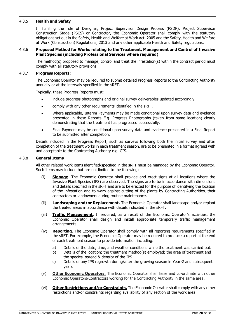# 4.3.5 **Health and Safety**

In fulfilling the role of Designer, Project Supervisor Design Process (PSDP), Project Supervisor Construction Stage (PSCS) or Contractor, the Economic Operator shall comply with the statutory obligations set out in the Safety, Health and Welfare at Work Act, 2005 and the Safety, Health and Welfare at Work (Construction) Regulations, 2013 and any other applicable Health and Safety regulations.

#### 4.3.6 **Proposed Method for Works relating to the Treatment, Management and Control of Invasive Plant Species (including Professional Services where required)**

The method(s) proposed to manage, control and treat the infestation(s) within the contract period must comply with all statutory provisions.

#### 4.3.7 **Progress Reports:**

The Economic Operator may be required to submit detailed Progress Reports to the Contracting Authority annually or at the intervals specified in the sRFT.

Typically, these Progress Reports must:

- include progress photographs and original survey deliverables updated accordingly.
- comply with any other requirements identified in the sRFT.
- Where applicable, Interim Payments may be made conditional upon survey data and evidence presented in these Reports E.g. Progress Photographs (taken from same location) clearly demonstrating that the treatment has progressed successfully.
- Final Payment may be conditional upon survey data and evidence presented in a Final Report to be submitted after completion.

Details included in the Progress Report, such as surveys following both the initial survey and after completion of the treatment works in each treatment season, are to be presented in a format agreed with and acceptable to the Contracting Authority e.g. GIS.

#### 4.3.8 **General Items**

All other related work items identified/specified in the sRFT must be managed by the Economic Operator. Such items may include but are not limited to the following:

- (i) **Signage**. The Economic Operator shall provide and erect signs at all locations where the Invasive Plant Species (IPS) are observed. The signs are to be in accordance with dimensions and details specified in the sRFT and are to be erected for the purpose of identifying the location of the infestation and to warn against cutting of the plants by Contracting Authorities, their contractors or landowners during routine maintenance.
- (ii) **Landscaping and/or Replacement.** The Economic Operator shall landscape and/or replant the treated areas in accordance with details indicated in the sRFT.
- (iii) **Traffic Management.** If required, as a result of the Economic Operator's activities, the Economic Operator shall design and install appropriate temporary traffic management arrangements.
- (iv) **Reporting.** The Economic Operator shall comply with all reporting requirements specified in the sRFT. For example, the Economic Operator may be required to produce a report at the end of each treatment season to provide information including:
	- a) Details of the date, time, and weather conditions while the treatment was carried out.
	- b) Details of the location; the treatment method(s) employed; the area of treatment and the species, spread & density of the IPS.
	- c) Details of any IPS regrowth during/after the growing season in Year-2 and subsequent years
- (v) **Other Economic Operators.** The Economic Operator shall liaise and co-ordinate with other Economic Operators/Contractors working for the Contracting Authority in the same area.
- (vi) **Other Restrictions and/or Constraints.** The Economic Operator shall comply with any other restrictions and/or constraints regarding availability of any section of the work area.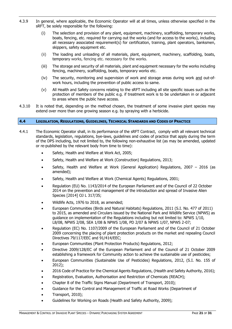- 4.3.9 In general, where applicable, the Economic Operator will at all times, unless otherwise specified in the sRFT, be solely responsible for the following:
	- (i) The selection and provision of any plant, equipment, machinery, scaffolding, temporary works, boats, fencing, etc. required for carrying out the works (and for access to the works), including all necessary associated requirement(s) for certification, training, plant operators, banksmen, skippers, safety equipment etc.
	- (ii) The loading and unloading of all materials, plant, equipment, machinery, scaffolding, boats, temporary works, fencing etc. necessary for the works.
	- (iii) The storage and security of all materials, plant and equipment necessary for the works including fencing, machinery, scaffolding, boats, temporary works etc.
	- (iv) The security, monitoring and supervision of work and storage areas during work and out-ofwork hours, including the prevention of public access to same.
	- (v) All Health and Safety concerns relating to the sRFT including all site specific issues such as the protection of members of the public e.g. if treatment work is to be undertaken in or adjacent to areas where the public have access.
- 4.3.10 It is noted that, depending on the method chosen, the treatment of some invasive plant species may extend over more than one growing season e.g. by spraying with a herbicide.

# <span id="page-20-0"></span>**4.4 LEGISLATION, REGULATIONS, GUIDELINES, TECHNICAL STANDARDS AND CODES OF PRACTICE**

- 4.4.1 The Economic Operator shall, in its performance of the sRFT Contract, comply with all relevant technical standards, legislation, regulations, bye-laws, guidelines and codes of practice that apply during the term of the DPS including, but not limited to, the following non-exhaustive list (as may be amended, updated or re-published by the relevant body from time to time):
	- Safety, Health and Welfare at Work Act, 2005;
	- Safety, Health and Welfare at Work (Construction) Regulations, 2013;
	- Safety, Health and Welfare at Work (General Application) Regulations, 2007 2016 (as amended);
	- Safety, Health and Welfare at Work (Chemical Agents) Regulations, 2001;
	- Regulation (EU) No. 1143/2014 of the European Parliament and of the Council of 22 October 2014 on the prevention and management of the introduction and spread of Invasive Alien Species [2014] OJ L 317/35;
	- Wildlife Acts, 1976 to 2018, as amended;
	- European Communities (Birds and Natural Habitats) Regulations, 2011 (S.I. No. 477 of 2011) to 2015, as amended and Circulars issued by the National Park and Wildlife Service (NPWS) as guidance on implementation of the Regulations including but not limited to: NPWS 1/10, L8/08, NPWS 2/08, SEA 1/08 & NPWS 1/08, PD 2/07 & NPWS 1/07, NPWS 2-07;
	- Regulation (EC) No. 1107/2009 of the European Parliament and of the Council of 21 October 2009 concerning the placing of plant protection products on the market and repealing Council Directives 79/117/EEC and 91/414/EEC;
	- European Communities (Plant Protection Products) Regulations, 2012;
	- Directive 2009/128/EC of the European Parliament and of the Council of 21 October 2009 establishing a framework for Community action to achieve the sustainable use of pesticides;
	- European Communities (Sustainable Use of Pesticides) Regulations, 2012, (S.I. No. 155 of 2012);
	- 2016 Code of Practice for the Chemical Agents Regulations, (Health and Safety Authority, 2016);
	- Registration, Evaluation, Authorisation and Restriction of Chemicals (REACH);
	- Chapter 8 of the Traffic Signs Manual (Department of Transport, 2010);
	- Guidance for the Control and Management of Traffic at Road Works (Department of
	- Transport, 2010);
	- Guidelines for Working on Roads (Health and Safety Authority, 2009);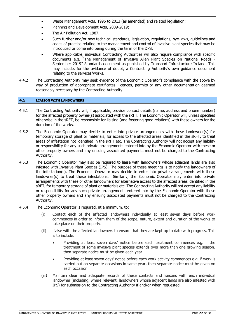- Waste Management Acts, 1996 to 2013 (as amended) and related legislation;
- Planning and Development Acts, 2009-2019;
- The Air Pollution Act, 1987.
- Such further and/or new technical standards, legislation, regulations, bye-laws, guidelines and codes of practice relating to the management and control of invasive plant species that may be introduced or come into being during the term of the DPS.
- Where applicable, individual Contracting Authorities will also require compliance with specific documents e.g. "The Management of Invasive Alien Plant Species on National Roads - September 2019" Standards document as published by Transport Infrastucture Ireland. This may include, for the avidance of doubt, a Contracting Authority's own guidance document relating to the services/works.
- 4.4.2 The Contracting Authority may seek evidence of the Economic Operator's compliance with the above by way of production of appropriate certificates, licences, permits or any other documentation deemed reasonably necessary by the Contracting Authority.

# <span id="page-21-0"></span>**4.5 LIAISON WITH LANDOWNERS**

- 4.5.1 The Contracting Authority will, if applicable, provide contact details (name, address and phone number) for the affected property owner(s) associated with the sRFT. The Economic Operator will, unless specified otherwise in the sRFT, be responsible for liaising (and fostering good relations) with these owners for the duration of the works.
- 4.5.2 The Economic Operator may decide to enter into private arrangements with these landowner(s) for temporary storage of plant or materials, for access to the affected areas identified in the sRFT, to treat areas of infestation not identified in the sRFT etc. The Contracting Authority will not accept any liability or responsibility for any such private arrangements entered into by the Economic Operator with these or other property owners and any ensuing associated payments must not be charged to the Contracting Authority.
- 4.5.3 The Economic Operator may also be required to liaise with landowners whose adjacent lands are also infested with Invasive Plant Species (IPS). The purpose of these meetings is to notify the landowners of the infestation(s). The Economic Operator may decide to enter into private arrangements with these landowner(s) to treat these infestations. Similarly, the Economic Operator may enter into private arrangements with these or other landowners for alternative access to the affected areas identified in the sRFT, for temporary storage of plant or materials etc. The Contracting Authority will not accept any liability or responsibility for any such private arrangements entered into by the Economic Operator with these other property owners and any ensuing associated payments must not be charged to the Contracting Authority.
- 4.5.4 The Economic Operator is required, at a minimum, to:
	- (i) Contact each of the affected landowners individually at least seven days before work commences in order to inform them of the scope, nature, extent and duration of the works to take place on their property.
	- (ii) Liaise with the affected landowners to ensure that they are kept up to date with progress. This is to include:
		- Providing at least seven days' notice before each treatment commences e.g. if the treatment of some invasive plant species extends over more than one growing season, then separate notice must be given each year.
		- Providing at least seven days' notice before each work activity commences e.g. if work is carried out on separate occasions in same year, then separate notice must be given on each occasion.
	- (iii) Maintain clear and adequate records of these contacts and liaisons with each individual landowner (including, where relevant, landowners whose adjacent lands are also infested with IPS) for submission to the Contracting Authority if and/or when requested.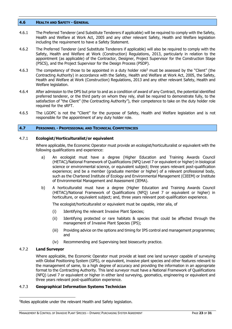#### <span id="page-22-0"></span>**4.6 HEALTH AND SAFETY - GENERAL**

- 4.6.1 The Preferred Tenderer (and Substitute Tenderers if applicable) will be required to comply with the Safety, Health and Welfare at Work Act, 2005 and any other relevant Safety, Health and Welfare legislation including the requirement to have a Safety Statement.
- 4.6.2 The Preferred Tenderer (and Substitute Tenderers if applicable) will also be required to comply with the Safety, Health and Welfare at Work (Construction) Regulations, 2013, particularly in relation to the appointment (as applicable) of the Contractor, Designer, Project Supervisor for the Construction Stage (PSCS), and the Project Supervisor for the Design Process (PSDP).
- 4.6.3 The competency of those to be appointed in a duty holder role<sup>5</sup> must be assessed by the "Client" (the Contracting Authority) in accordance with the Safety, Health and Welfare at Work Act, 2005, the Safety, Health and Welfare at Work (Construction) Regulations, 2013 and any other relevant Safety, Health and Welfare legislation.
- 4.6.4 After admission to the DPS but prior to and as a condition of award of any Contract, the potential identified preferred tenderer, or the third party on whom they rely, shall be required to demonstrate fully, to the satisfaction of "the Client" (the Contracting Authority"), their competence to take on the duty holder role required for the sRFT.
- 4.6.5 The LGOPC is not the "Client" for the purpose of Safety, Health and Welfare legislation and is not responsible for the appointment of any duty holder role.

# <span id="page-22-1"></span>**4.7 PERSONNEL - PROFESSIONAL AND TECHNICAL COMPETENCIES**

#### 4.7.1 **Ecologist/Horticulturalist/or equivalent**

Where applicable, the Economic Operator must provide an ecologist/horticulturalist or equivalent with the following qualifications and experience:

- a) An ecologist must have a degree (Higher Education and Training Awards Council (HETAC)/National Framework of Qualifications (NFQ Level 7 or equivalent or higher) in biological science or environmental science, or equivalent subject; three years relevant post-qualification experience; and be a member (graduate member or higher) of a relevant professional body, such as the Chartered Institute of Ecology and Environmental Management (CIEEM) or Institute of Environmental Management and Assessment (IEMA).
- b) A horticulturalist must have a degree (Higher Education and Training Awards Council (HETAC)/National Framework of Qualifications (NFQ) Level 7 or equivalent or higher) in horticulture, or equivalent subject; and, three years relevant post-qualification experience.

The ecologist/horticulturalist or equivalent must be capable, inter alia, of

- (i) Identifying the relevant Invasive Plant Species;
- (ii) Identifying protected or rare habitats & species that could be affected through the management of Invasive Plant Species (IPS);
- (iii) Providing advice on the options and timing for IPS control and management programmes; and
- (iv) Recommending and Supervising best biosecurity practice.

# 4.7.2 **Land Surveyor**

-

Where applicable, the Economic Operator must provide at least one land surveyor capable of surveying with Global Positioning System (GPS), or equivalent, invasive plant species and other features relevant to the management of same, to a high degree of accuracy and providing the information in an appropriate format to the Contracting Authority. This land surveyor must have a National Framework of Qualifications (NFQ) Level 7 or equivalent or higher in either land surveying, geomatics, engineering or equivalent and three years relevant post-qualification experience.

# 4.7.3 **Geographical Information Systems Technician**

<sup>5</sup>Roles applicable under the relevant Health and Safety legislation.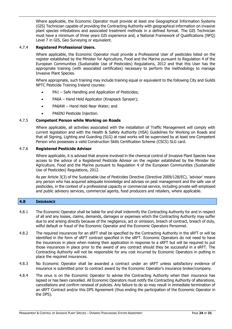Where applicable, the Economic Operator must provide at least one Geographical Information Systems (GIS) Technician capable of providing the Contracting Authority with geographical information on invasive plant species infestations and associated treatment methods in a defined format. The GIS Technician must have a minimum of three years GIS experience and, a National Framework of Qualifications (NFQ) Level 7 in GIS, Geo Surveying or equivalent.

# 4.7.4 **Registered Professional Users.**

Where applicable, the Economic Operator must provide a Professional User of pesticides listed on the register established by the Minister for Agriculture, Food and the Marine pursuant to Regulation 4 of the European Communities (Sustainable Use of Pesticides) Regulations, 2012 and that this User has the appropriate training (with associated certificates) necessary to perform the methodology to manage Invasive Plant Species.

Where appropriate, such training may include training equal or equivalent to the following City and Guilds NPTC Pesticide Training Ireland courses:

- PA1 Safe Handling and Application of Pesticides;
- PA6A Hand Held Applicator (Knapsack Sprayer);
- PA6AW Hand Held Near Water; and
- PA6INJ Pesticide Injection.

# 4.7.5 **Competent Person while Working on Roads**

Where applicable, all activities associated with the installation of Traffic Management will comply with current legislation and with the Health & Safety Authority (HSA) Guidelines for Working on Roads and that all Signing, Lighting and Guarding (SLG) at road works will be supervised by at least one Competent Person who possesses a valid Construction Skills Certification Scheme (CSCS) SLG card.

# 4.7.6 **Registered Pesticide Advisor**

Where applicable, it is advised that anyone involved in the chemical control of Invasive Plant Species have access to the advice of a Registered Pesticide Advisor on the register established by the Minister for Agriculture, Food and the Marine pursuant to Regulation 4 of the European Communities (Sustainable Use of Pesticides) Regulations, 2012.

As per Article 3(3) of the Sustainable Use of Pesticides Directive (Directive 2009/128/EC), 'advisor' means any person who has acquired adequate knowledge and advises on pest management and the safe use of pesticides, in the context of a professional capacity or commercial service, including private self-employed and public advisory services, commercial agents, food producers and retailers, where applicable.

# <span id="page-23-0"></span>**4.8 INSURANCE**

- 4.8.1 The Economic Operator shall be liable for and shall indemnify the Contracting Authority for and in respect of all and any losses, claims, demands, damages or expenses which the Contracting Authority may suffer due to and arising directly because of the negligence, act or omission, breach of contract, breach of duty, wilful default or fraud of the Economic Operator and the Economic Operators Personnel.
- 4.8.2 The required insurances for an sRFT shall be specified by the Contracting Authority in the sRFT or will be identified in the form of sRFT contract specified in the sRFT. Economic Operators do not need to have the insurances in place when making their application in response to a sRFT but will be required to put those insurances in place prior to the award of any contract should they be successful in a sRFT. The Contracting Authority will not be responsible for any cost incurred by Economic Operators in putting in place the required insurances.
- 4.8.3 No Economic Operator shall be awarded a contract under an sRFT unless satisfactory evidence of insurance is submitted prior to contract award by the Economic Operator's insurance broker/company.
- 4.8.4 The onus is on the Economic Operator to advise the Contracting Authority when their insurance has lapsed or has been cancelled. All Economic Operators must notify the Contracting Authority of alterations, cancellations and confirm renewal of policies. Any failure to do so may result in immediate termination of an sRFT Contract and/or this DPS Agreement (thus ending the participation of the Economic Operator in the DPS).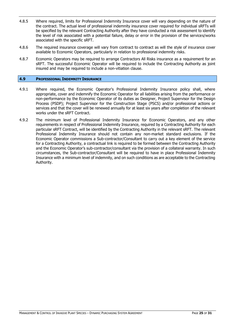- 4.8.5 Where required, limits for Professional Indemnity Insurance cover will vary depending on the nature of the contract. The actual level of professional indemnity insurance cover required for individual sRFTs will be specified by the relevant Contracting Authority after they have conducted a risk assessment to identify the level of risk associated with a potential failure, delay or error in the provision of the services/works associated with the specific sRFT.
- 4.8.6 The required insurance coverage will vary from contract to contract as will the style of insurance cover available to Economic Operators, particularly in relation to professional indemnity risks.
- 4.8.7 Economic Operators may be required to arrange Contractors All Risks insurance as a requirement for an sRFT. The successful Economic Operator will be required to include the Contracting Authority as joint insured and may be required to include a non-vitiation clause.

#### <span id="page-24-0"></span>**4.9 PROFESSIONAL INDEMNITY INSURANCE**

- 4.9.1 Where required, the Economic Operator's Professional Indemnity Insurance policy shall, where appropriate, cover and indemnify the Economic Operator for all liabilities arising from the performance or non-performance by the Economic Operator of its duties as Designer, Project Supervisor for the Design Process (PSDP); Project Supervisor for the Construction Stage (PSCS) and/or professional actions or services and that the cover will be renewed annually for at least six years after completion of the relevant works under the sRFT Contract.
- 4.9.2 The minimum level of Professional Indemnity Insurance for Economic Operators, and any other requirements in respect of Professional Indemnity Insurance, required by a Contracting Authority for each particular sRFT Contract, will be identified by the Contracting Authority in the relevant sRFT. The relevant Professional Indemnity Insurance should not contain any non-market standard exclusions. If the Economic Operator commissions a Sub-contractor/Consultant to carry out a key element of the service for a Contracting Authority, a contractual link is required to be formed between the Contracting Authority and the Economic Operator's sub-contractor/consultant via the provision of a collateral warranty. In such circumstances, the Sub-contractor/Consultant will be required to have in place Professional Indemnity Insurance with a minimum level of indemnity, and on such conditions as are acceptable to the Contracting Authority.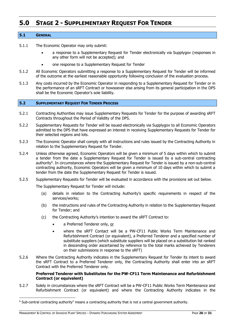# <span id="page-25-0"></span>**5.0 STAGE 2 - SUPPLEMENTARY REQUEST FOR TENDER**

# <span id="page-25-1"></span>**5.1 GENERAL**

- 5.1.1 The Economic Operator may only submit:
	- a response to a Supplementary Request for Tender electronically via Supplygov (responses in any other form will not be accepted); and
	- one response to a Supplementary Request for Tender
- 5.1.2 All Economic Operators submitting a response to a Supplementary Request for Tender will be informed of the outcome at the earliest reasonable opportunity following conclusion of the evaluation process.
- 5.1.3 Any costs incurred by the Economic Operator in responding to a Supplementary Request for Tender or in the performance of an sRFT Contract or howsoever else arising from its general participation in the DPS shall be the Economic Operator's sole liability.

#### <span id="page-25-2"></span>**5.2 SUPPLEMENTARY REQUEST FOR TENDER PROCESS**

- 5.2.1 Contracting Authorities may issue Supplementary Requests for Tender for the purpose of awarding sRFT Contracts throughout the Period of Validity of the DPS.
- 5.2.2 Supplementary Requests for Tender will be issued electronically via Supplygov to all Economic Operators admitted to the DPS that have expressed an interest in receiving Supplementary Requests for Tender for their selected regions and lots.
- 5.2.3 The Economic Operator shall comply with all instructions and rules issued by the Contracting Authority in relation to the Supplementary Request for Tender.
- 5.2.4 Unless otherwise agreed, Economic Operators will be given a minimum of 5 days within which to submit a tender from the date a Supplementary Request for Tender is issued by a sub-central contracting authority<sup>6</sup>. In circumstances where the Supplementary Request for Tender is issued by a non-sub-central contracting authority, Economic Operators will be given a minimum of 10 days within which to submit a tender from the date the Supplementary Request for Tender is issued.
- 5.2.5 Supplementary Requests for Tender will be evaluated in accordance with the provisions set out below.

The Supplementary Request for Tender will include:

- (a) details in relation to the Contracting Authority's specific requirements in respect of the services/works;
- (b) the instructions and rules of the Contracting Authority in relation to the Supplementary Request for Tender; and
- (c) the Contracting Authority's intention to award the sRFT Contract to:
	- a Preferred Tenderer only, or
	- where the sRFT Contact will be a PW-CF11 Public Works Term Maintenance and Refurbishment Contract (or equivalent), a Preferred Tenderer and a specified number of substitute suppliers (which substitute suppliers will be placed on a substitution list ranked in descending order ascertained by reference to the total marks achieved by Tenderers on their submissions in response to the sRFT)
- 5.2.6 Where the Contracting Authority indicates in the Supplementary Request for Tender its intent to award the sRFT Contract to a Preferred Tenderer only, the Contracting Authority shall enter into an sRFT Contract with the Preferred Tenderer only.

# **Preferred Tenderer with Substitutes for the PW-CF11 Term Maintenance and Refurbishment Contract (or equivalent)**

5.2.7 Solely in circumstances where the sRFT Contract will be a PW-CF11 Public Works Term Maintenance and Refurbishment Contract (or equivalent) and where the Contracting Authority indicates in the

-

 $6$  Sub-central contracting authority" means a contracting authority that is not a central government authority.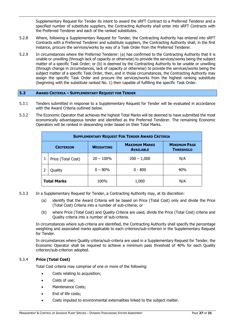Supplementary Request for Tender its intent to award the sRFT Contract to a Preferred Tenderer and a specified number of substitute suppliers, the Contracting Authority shall enter into sRFT Contracts with the Preferred Tenderer and each of the ranked substitutes.

- 5.2.8 Where, following a Supplementary Request for Tender, the Contracting Authority has entered into sRFT Contracts with a Preferred Tenderer and substitute suppliers, the Contracting Authority shall, in the first instance, procure the services/works by way of a Task Order from the Preferred Tenderer.
- 5.2.9 In circumstances where the Preferred Tenderer: (a) has confirmed to the Contracting Authority that it is unable or unwilling (through lack of capacity or otherwise) to provide the services/works being the subject matter of a specific Task Order; or (b) is deemed by the Contracting Authority to be unable or unwilling (through change in circumstances, lack of capacity or otherwise) to provide the services/works being the subject matter of a specific Task Order, then, and in those circumstances, the Contracting Authority may assign the specific Task Order and procure the services/works from the highest ranking substitute (beginning with the substitute ranked No. 1) then capable of fulfilling the specific Task Order.

#### <span id="page-26-0"></span>**5.3 AWARD CRITERIA – SUPPLEMENTARY REQUEST FOR TENDER**

- 5.3.1 Tenders submitted in response to a Supplementary Request for Tender will be evaluated in accordance with the Award Criteria outlined below.
- 5.3.2 The Economic Operator that achieves the highest Total Marks will be deemed to have submitted the most economically advantageous tender and identified as the Preferred Tenderer. The remaining Economic Operators will be ranked in descending order based on their Total Marks.

| <b>SUPPLEMENTARY REQUEST FOR TENDER AWARD CRITERIA</b> |                    |                  |                                          |                                         |  |  |  |
|--------------------------------------------------------|--------------------|------------------|------------------------------------------|-----------------------------------------|--|--|--|
|                                                        | <b>CRITERION</b>   | <b>WEIGHTING</b> | <b>MAXIMUM MARKS</b><br><b>AVAILABLE</b> | <b>MINIMUM PASS</b><br><b>THRESHOLD</b> |  |  |  |
|                                                        | Price (Total Cost) | $20 - 100\%$     | $200 - 1,000$                            | N/A                                     |  |  |  |
|                                                        | Quality            | $0 - 80%$        | $0 - 800$                                | 40%                                     |  |  |  |
|                                                        | <b>Total Marks</b> | 100%             | 1,000                                    | N/A                                     |  |  |  |

- 5.3.3 In a Supplementary Request for Tender, a Contracting Authority may, at its discretion:
	- (a) identify that the Award Criteria will be based on Price (Total Cost) only and divide the Price (Total Cost) Criteria into a number of sub-criteria; or
	- (b) where Price (Total Cost) and Quality Criteria are used, divide the Price (Total Cost) criteria and Quality criteria into a number of sub-criteria.

In circumstances where sub-criteria are identified, the Contracting Authority shall specify the percentage weighting and associated marks applicable to each criterion/sub-criterion in the Supplementary Request for Tender.

In circumstances where Quality criteria/sub-criteria are used in a Supplementary Request for Tender, the Economic Operator shall be required to achieve a minimum pass threshold of 40% for each Quality criterion/sub-criterion adopted.

# 5.3.4 **Price (Total Cost)**

Total Cost criteria may comprise of one or more of the following:

- Costs relating to acquisition;
- Costs of use;
- Maintenance Costs;
- End of life costs;
- Costs imputed to environmental externalities linked to the subject matter.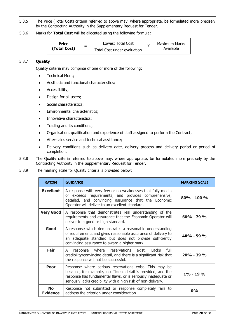- 5.3.5 The Price (Total Cost) criteria referred to above may, where appropriate, be formulated more precisely by the Contracting Authority in the Supplementary Request for Tender.
- 5.3.6 Marks for **Total Cost** will be allocated using the following formula:



# 5.3.7 **Quality**

Quality criteria may comprise of one or more of the following:

- Technical Merit;
- Aesthetic and functional characteristics;
- Accessibility;
- Design for all users;
- Social characteristics;
- Environmental characteristics;
- Innovative characteristics;
- Trading and its conditions;
- Organisation, qualification and experience of staff assigned to perform the Contract;
- After-sales service and technical assistance;
- Delivery conditions such as delivery date, delivery process and delivery period or period of completion.
- 5.3.8 The Quality criteria referred to above may, where appropriate, be formulated more precisely by the Contracting Authority in the Supplementary Request for Tender.
- 5.3.9 The marking scale for Quality criteria is provided below:

| <b>RATING</b>                | <b>GUIDANCE</b>                                                                                                                                                                                                                                            | <b>MARKING SCALE</b> |  |  |
|------------------------------|------------------------------------------------------------------------------------------------------------------------------------------------------------------------------------------------------------------------------------------------------------|----------------------|--|--|
| <b>Excellent</b>             | A response with very few or no weaknesses that fully meets<br>or exceeds requirements, and provides comprehensive,<br>detailed, and convincing assurance that the Economic<br>Operator will deliver to an excellent standard.                              |                      |  |  |
| <b>Very Good</b>             | A response that demonstrates real understanding of the<br>requirements and assurance that the Economic Operator will<br>deliver to a good or high standard.                                                                                                | $60\% - 79\%$        |  |  |
| Good                         | A response which demonstrates a reasonable understanding<br>of requirements and gives reasonable assurance of delivery to<br>an adequate standard but does not provide sufficiently<br>convincing assurance to award a higher mark.                        | $40\% - 59\%$        |  |  |
| Fair                         | where reservations exist. Lacks<br>full<br>response<br>A<br>credibility/convincing detail, and there is a significant risk that<br>the response will not be successful.                                                                                    | $20\% - 39\%$        |  |  |
| <b>Poor</b>                  | Response where serious reservations exist. This may be<br>because, for example, insufficient detail is provided, and the<br>response has fundamental flaws, or is seriously inadequate or<br>seriously lacks credibility with a high risk of non-delivery. | $1\% - 19\%$         |  |  |
| <b>No</b><br><b>Evidence</b> | Response not submitted or response completely fails to<br>address the criterion under consideration.                                                                                                                                                       | 0%                   |  |  |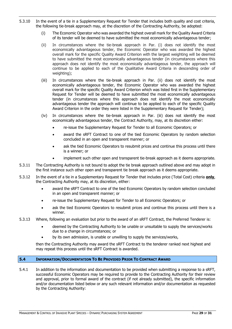- 5.3.10 In the event of a tie in a Supplementary Request for Tender that includes both quality and cost criteria, the following tie-break approach may, at the discretion of the Contracting Authority, be adopted:
	- (i) The Economic Operator who was awarded the highest overall mark for the Quality Award Criteria of its tender will be deemed to have submitted the most economically advantageous tender;
	- (ii) In circumstances where the tie-break approach in Par. (i) does not identify the most economically advantageous tender, the Economic Operator who was awarded the highest overall mark for the specific Quality Award Criterion with the largest weighting will be deemed to have submitted the most economically advantageous tender (in circumstances where this approach does not identify the most economically advantageous tender, the approach will continue to be applied to each of the Qualitative Award Criteria in descending order of weighting);
	- (iii) In circumstances where the tie-break approach in Par. (ii) does not identify the most economically advantageous tender, the Economic Operator who was awarded the highest overall mark for the specific Quality Award Criterion which was listed first in the Supplementary Request for Tender will be deemed to have submitted the most economically advantageous tender (in circumstances where this approach does not identify the most economically advantageous tender the approach will continue to be applied to each of the specific Quality Award Criterion in the order they were listed in the Supplementary Request for Tender);
	- (iv) In circumstances where the tie-break approach in Par. (iii) does not identify the most economically advantageous tender, the Contract Authority, may, at its discretion either:
		- re-issue the Supplementary Request for Tender to all Economic Operators; or
		- award the sRFT Contract to one of the tied Economic Operators by random selection concluded in an open and transparent manner; or
		- ask the tied Economic Operators to resubmit prices and continue this process until there is a winner; or
		- implement such other open and transparent tie-break approach as it deems appropriate.
- 5.3.11 The Contracting Authority is not bound to adopt the tie break approach outlined above and may adopt in the first instance such other open and transparent tie break approach as it deems appropriate.
- 5.3.12 In the event of a tie in a Supplementary Request for Tender that includes price (Total Cost) criteria **only**, the Contracting Authority may, at its discretion, either:
	- award the sRFT Contract to one of the tied Economic Operators by random selection concluded in an open and transparent manner; or
	- re-issue the Supplementary Request for Tender to all Economic Operators; or
	- ask the tied Economic Operators to resubmit prices and continue this process until there is a winner.
- 5.3.13 Where, following an evaluation but prior to the award of an sRFT Contract, the Preferred Tenderer is:
	- deemed by the Contracting Authority to be unable or unsuitable to supply the services/works due to a change in circumstances; or
	- by its own admission, is unable or unwilling to supply the services/works,

then the Contracting Authority may award the sRFT Contract to the tenderer ranked next highest and may repeat this process until the sRFT Contract is awarded.

# <span id="page-28-0"></span>**5.4 INFORMATION/DOCUMENTATION TO BE PROVIDED PRIOR TO CONTRACT AWARD**

5.4.1 In addition to the information and documentation to be provided when submitting a response to a sRFT, successful Economic Operators may be required to provide to the Contracting Authority for their review and approval, prior to formal award of the contract (if not already submitted), the specific information and/or documentation listed below or any such relevant information and/or documentation as requested by the Contracting Authority: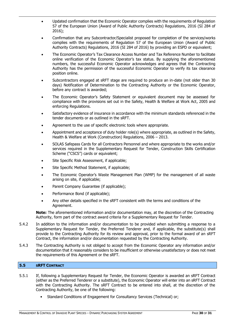- Updated confirmation that the Economic Operator complies with the requirements of Regulation 57 of the European Union (Award of Public Authority Contracts) Regulations, 2016 (SI 284 of 2016);
- Confirmation that any Subcontractor/Specialist proposed for completion of the services/works complies with the requirements of Regulation 57 of the European Union (Award of Public Authority Contracts) Regulations, 2016 (SI 284 of 2016) by providing an ESPD or equivalent;
- The Economic Operator's Tax Clearance Access Number and Tax Reference Number to facilitate online verification of the Economic Operator's tax status. By supplying the aforementioned numbers, the successful Economic Operator acknowledges and agrees that the Contracting Authority has the permission of the successful Economic Operator to verify its tax clearance position online.
- Subcontractors engaged at sRFT stage are required to produce an in-date (not older than 30 days) Notification of Determination to the Contracting Authority or the Economic Operator, before any contract is awarded;
- The Economic Operator's Safety Statement or equivalent document may be assessed for compliance with the provisions set out in the Safety, Health & Welfare at Work Act, 2005 and enforcing Regulations.
- Satisfactory evidence of insurance in accordance with the minimum standards referenced in the tender documents or as outlined in the sRFT.
- Agreement to the use of specific electronic tools where appropriate.
- Appointment and acceptance of duty holder role(s) where appropriate, as outlined in the Safety, Health & Welfare at Work (Construction) Regulations, 2006 – 2013.
- SOLAS Safepass Cards for all Contractors Personnel and where appropriate to the works and/or services required in the Supplementary Request for Tender, Construction Skills Certification Scheme ("CSCS") cards or equivalent;
- Site Specific Risk Assessment, if applicable;
- Site Specific Method Statement, if applicable;
- The Economic Operator's Waste Management Plan (WMP) for the management of all waste arising on site, if applicable;
- Parent Company Guarantee (if applicable);
- Performance Bond (if applicable);
- Any other details specified in the sRFT consistent with the terms and conditions of the Agreement.

**Note:** The aforementioned information and/or documentation may, at the discretion of the Contracting Authority, form part of the contract award criteria for a Supplementary Request for Tender.

- 5.4.2 In addition to the information and/or documentation to be provided when submitting a response to a Supplementary Request for Tender, the Preferred Tenderer and, if applicable, the substitute(s) shall provide to the Contracting Authority for its review and approval, prior to the formal award of an sRFT Contract, the information and/or documentation requested by the Contracting Authority.
- 5.4.3 The Contracting Authority is not obliged to accept from the Economic Operator any information and/or documentation that it reasonably considers to be insufficient or otherwise unsatisfactory or does not meet the requirements of this Agreement or the sRFT.

# <span id="page-29-0"></span>**5.5 SRFT CONTRACT**

- 5.5.1 If, following a Supplementary Request for Tender, the Economic Operator is awarded an sRFT Contract (either as the Preferred Tenderer or a substitute), the Economic Operator will enter into an sRFT Contract with the Contracting Authority. The sRFT Contract to be entered into shall, at the discretion of the Contracting Authority, be one of the following:
	- Standard Conditions of Engagement for Consultancy Services (Technical) or;